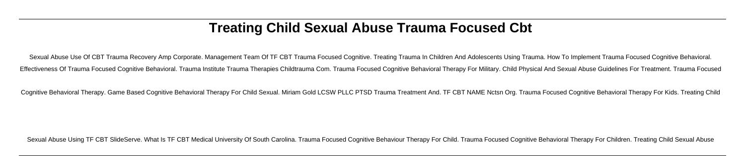# **Treating Child Sexual Abuse Trauma Focused Cbt**

Sexual Abuse Use Of CBT Trauma Recovery Amp Corporate. Management Team Of TF CBT Trauma Focused Cognitive. Treating Trauma In Children And Adolescents Using Trauma. How To Implement Trauma Focused Cognitive Behavioral. Effectiveness Of Trauma Focused Cognitive Behavioral. Trauma Institute Trauma Therapies Childtrauma Com. Trauma Focused Cognitive Behavioral Therapy For Military. Child Physical And Sexual Abuse Guidelines For Treatment. T

Cognitive Behavioral Therapy. Game Based Cognitive Behavioral Therapy For Child Sexual. Miriam Gold LCSW PLLC PTSD Trauma Treatment And. TF CBT NAME Nctsn Org. Trauma Focused Cognitive Behavioral Therapy For Kids. Treating

Sexual Abuse Using TF CBT SlideServe. What Is TF CBT Medical University Of South Carolina. Trauma Focused Cognitive Behaviour Therapy For Child. Trauma Focused Cognitive Behavioral Therapy For Children. Treating Child Sexu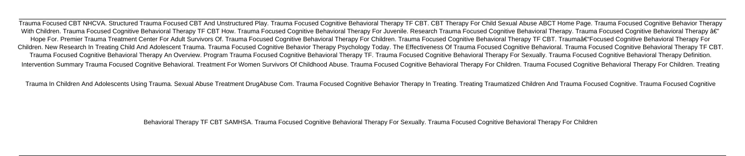Trauma Focused CBT NHCVA. Structured Trauma Focused CBT And Unstructured Play. Trauma Focused Cognitive Behavioral Therapy TF CBT. CBT Therapy For Child Sexual Abuse ABCT Home Page. Trauma Focused Cognitive Behavior Therapy With Children. Trauma Focused Cognitive Behavioral Therapy TF CBT How. Trauma Focused Cognitive Behavioral Therapy For Juvenile. Research Trauma Focused Cognitive Behavioral Therapy. Trauma Focused Cognitive Behavioral Th Hope For. Premier Trauma Treatment Center For Adult Survivors Of. Trauma Focused Cognitive Behavioral Therapy For Children. Trauma Focused Cognitive Behavioral Therapy TF CBT. Trauma†Focused Cognitive Behavioral Therapy Children. New Research In Treating Child And Adolescent Trauma. Trauma Focused Cognitive Behavior Therapy Psychology Today. The Effectiveness Of Trauma Focused Cognitive Behavioral. Trauma Focused Cognitive Behavioral Ther Trauma Focused Cognitive Behavioral Therapy An Overview. Program Trauma Focused Cognitive Behavioral Therapy TF. Trauma Focused Cognitive Behavioral Therapy For Sexually. Trauma Focused Cognitive Behavioral Therapy For Sex Intervention Summary Trauma Focused Coanitive Behavioral. Treatment For Women Survivors Of Childhood Abuse. Trauma Focused Cognitive Behavioral Therapy For Children. Trauma Focused Cognitive Behavioral Therapy For Children

Trauma In Children And Adolescents Using Trauma. Sexual Abuse Treatment DrugAbuse Com. Trauma Focused Cognitive Behavior Therapy In Treating. Treating Traumatized Children And Trauma Focused Cognitive. Trauma Focused Cogni

Behavioral Therapy TF CBT SAMHSA. Trauma Focused Cognitive Behavioral Therapy For Sexually. Trauma Focused Cognitive Behavioral Therapy For Children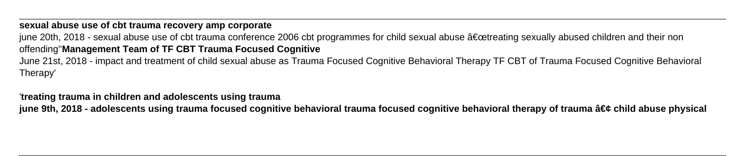### **sexual abuse use of cbt trauma recovery amp corporate**

june 20th, 2018 - sexual abuse use of cbt trauma conference 2006 cbt programmes for child sexual abuse "treating sexually abused children and their non offending''**Management Team of TF CBT Trauma Focused Cognitive** June 21st, 2018 - impact and treatment of child sexual abuse as Trauma Focused Cognitive Behavioral Therapy TF CBT of Trauma Focused Cognitive Behavioral

Therapy'

### '**treating trauma in children and adolescents using trauma**

june 9th, 2018 - adolescents using trauma focused cognitive behavioral trauma focused cognitive behavioral therapy of trauma • child abuse physical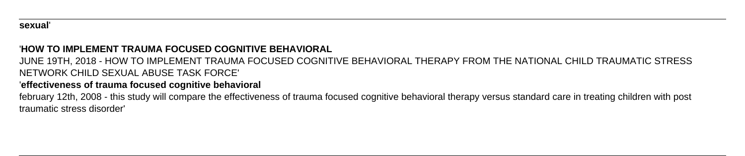#### **sexual**'

### '**HOW TO IMPLEMENT TRAUMA FOCUSED COGNITIVE BEHAVIORAL**

JUNE 19TH, 2018 - HOW TO IMPLEMENT TRAUMA FOCUSED COGNITIVE BEHAVIORAL THERAPY FROM THE NATIONAL CHILD TRAUMATIC STRESS NETWORK CHILD SEXUAL ABUSE TASK FORCE'

### '**effectiveness of trauma focused cognitive behavioral**

february 12th, 2008 - this study will compare the effectiveness of trauma focused cognitive behavioral therapy versus standard care in treating children with post traumatic stress disorder'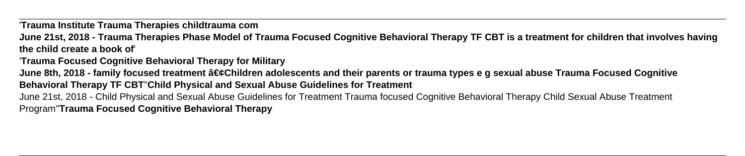'**Trauma Institute Trauma Therapies childtrauma com**

**June 21st, 2018 - Trauma Therapies Phase Model of Trauma Focused Cognitive Behavioral Therapy TF CBT is a treatment for children that involves having the child create a book of**'

'**Trauma Focused Cognitive Behavioral Therapy for Military**

June 8th, 2018 - family focused treatment •Children adolescents and their parents or trauma types e g sexual abuse Trauma Focused Cognitive **Behavioral Therapy TF CBT**''**Child Physical and Sexual Abuse Guidelines for Treatment**

June 21st, 2018 - Child Physical and Sexual Abuse Guidelines for Treatment Trauma focused Cognitive Behavioral Therapy Child Sexual Abuse Treatment Program''**Trauma Focused Cognitive Behavioral Therapy**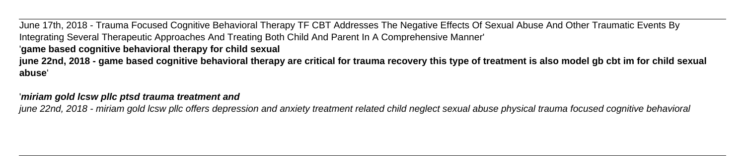June 17th, 2018 - Trauma Focused Cognitive Behavioral Therapy TF CBT Addresses The Negative Effects Of Sexual Abuse And Other Traumatic Events By Integrating Several Therapeutic Approaches And Treating Both Child And Parent In A Comprehensive Manner' '**game based cognitive behavioral therapy for child sexual june 22nd, 2018 - game based cognitive behavioral therapy are critical for trauma recovery this type of treatment is also model gb cbt im for child sexual abuse**'

### '**miriam gold lcsw pllc ptsd trauma treatment and**

june 22nd, 2018 - miriam gold lcsw pllc offers depression and anxiety treatment related child neglect sexual abuse physical trauma focused cognitive behavioral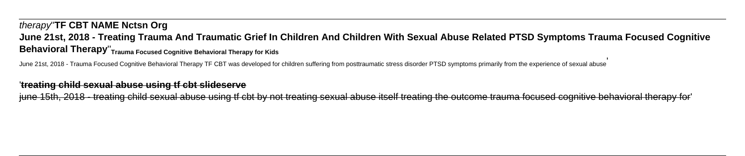# therapy''**TF CBT NAME Nctsn Org June 21st, 2018 - Treating Trauma And Traumatic Grief In Children And Children With Sexual Abuse Related PTSD Symptoms Trauma Focused Cognitive Behavioral Therapy**''**Trauma Focused Cognitive Behavioral Therapy for Kids**

June 21st, 2018 - Trauma Focused Cognitive Behavioral Therapy TF CBT was developed for children suffering from posttraumatic stress disorder PTSD symptoms primarily from the experience of sexual abuse

### '**treating child sexual abuse using tf cbt slideserve**

iune 15th. 2018 - treating child sexual abuse using tf cbt by not treating sexual abuse itself treating the outcome trauma focused cognitive behavioral therapy for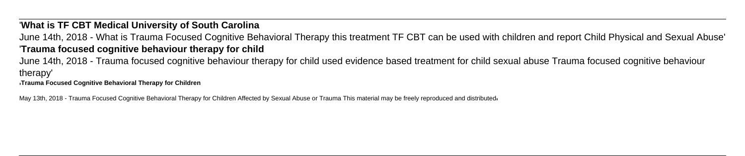## '**What is TF CBT Medical University of South Carolina**

June 14th, 2018 - What is Trauma Focused Cognitive Behavioral Therapy this treatment TF CBT can be used with children and report Child Physical and Sexual Abuse' '**Trauma focused cognitive behaviour therapy for child**

June 14th, 2018 - Trauma focused cognitive behaviour therapy for child used evidence based treatment for child sexual abuse Trauma focused cognitive behaviour therapy'

'**Trauma Focused Cognitive Behavioral Therapy for Children**

May 13th, 2018 - Trauma Focused Cognitive Behavioral Therapy for Children Affected by Sexual Abuse or Trauma This material may be freely reproduced and distributed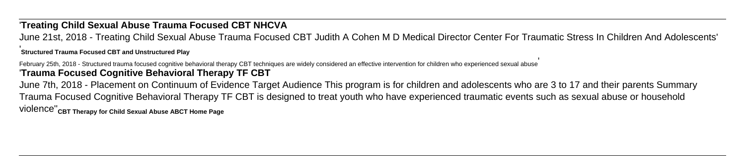# '**Treating Child Sexual Abuse Trauma Focused CBT NHCVA**

June 21st, 2018 - Treating Child Sexual Abuse Trauma Focused CBT Judith A Cohen M D Medical Director Center For Traumatic Stress In Children And Adolescents' '**Structured Trauma Focused CBT and Unstructured Play**

February 25th, 2018 - Structured trauma focused cognitive behavioral therapy CBT techniques are widely considered an effective intervention for children who experienced sexual abuse' '**Trauma Focused Cognitive Behavioral Therapy TF CBT**

June 7th, 2018 - Placement on Continuum of Evidence Target Audience This program is for children and adolescents who are 3 to 17 and their parents Summary Trauma Focused Cognitive Behavioral Therapy TF CBT is designed to treat youth who have experienced traumatic events such as sexual abuse or household violence''**CBT Therapy for Child Sexual Abuse ABCT Home Page**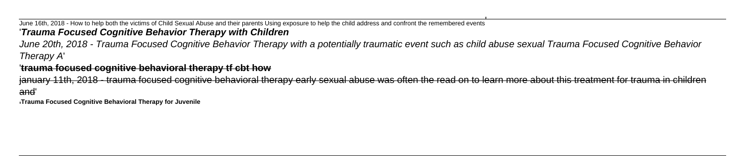### June 16th, 2018 - How to help both the victims of Child Sexual Abuse and their parents Using exposure to help the child address and confront the remembered events' '**Trauma Focused Cognitive Behavior Therapy with Children**

June 20th, 2018 - Trauma Focused Cognitive Behavior Therapy with a potentially traumatic event such as child abuse sexual Trauma Focused Cognitive Behavior Therapy A'

### '**trauma focused cognitive behavioral therapy tf cbt how**

january 11th, 2018 - trauma focused cognitive behavioral therapy early sexual abuse was often the read on to learn more about this treatment for trauma in children and'

'**Trauma Focused Cognitive Behavioral Therapy for Juvenile**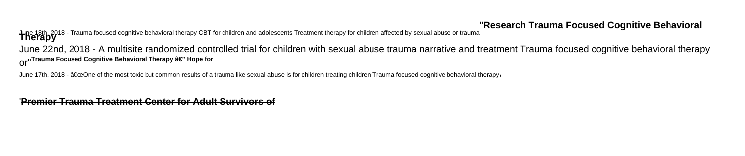### ''**Research Trauma Focused Cognitive Behavioral**

June 18th, 2018 - Trauma focused cognitive behavioral therapy CBT for children and adolescents Treatment therapy for children affected by sexual abuse or trauma **Therapy**

June 22nd, 2018 - A multisite randomized controlled trial for children with sexual abuse trauma narrative and treatment Trauma focused cognitive behavioral therapy **Or**<sup>"</sup> Trauma Focused Cognitive Behavioral Therapy â€" Hope for

June 17th, 2018 - "One of the most toxic but common results of a trauma like sexual abuse is for children treating children Trauma focused cognitive behavioral therapyin

'**Premier Trauma Treatment Center for Adult Survivors of**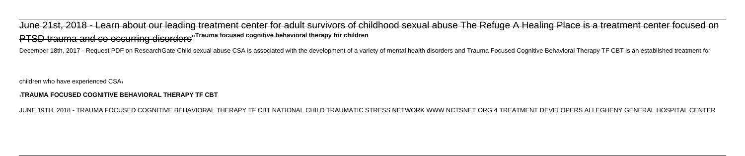June 21st, 2018 - Learn about our leading treatment center for adult survivors of childhood sexual abuse The Refuge A Healing Place is a treatment center focused on PTSD trauma and co occurring disorders''**Trauma focused cognitive behavioral therapy for children**

December 18th, 2017 - Request PDF on ResearchGate Child sexual abuse CSA is associated with the development of a variety of mental health disorders and Trauma Focused Cognitive Behavioral Therapy TF CBT is an established t

children who have experienced CSA'

#### '**TRAUMA FOCUSED COGNITIVE BEHAVIORAL THERAPY TF CBT**

JUNE 19TH, 2018 - TRAUMA FOCUSED COGNITIVE BEHAVIORAL THERAPY TF CBT NATIONAL CHILD TRAUMATIC STRESS NETWORK WWW NCTSNET ORG 4 TREATMENT DEVELOPERS ALLEGHENY GENERAL HOSPITAL CENTER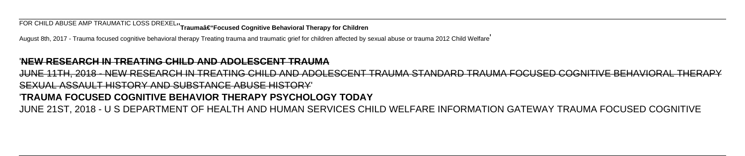**FOR CHILD ABUSE AMP TRAUMATIC LOSS DREXEL**<sup>1</sup> Traumaâ€"Focused Cognitive Behavioral Therapy for Children

August 8th, 2017 - Trauma focused cognitive behavioral therapy Treating trauma and traumatic grief for children affected by sexual abuse or trauma 2012 Child Welfare'

### '**NEW RESEARCH IN TREATING CHILD AND ADOLESCENT TRAUMA**

JUNE 11TH, 2018 - NEW RESEARCH IN TREATING CHILD AND ADOLESCENT TRAUMA STANDARD TRAUMA FOCUSED COGNITIVE BEHAVIORAL THERAPY

### SEXUAL ASSAULT HISTORY AND SUBSTANCE ABUSE HISTORY'

### '**TRAUMA FOCUSED COGNITIVE BEHAVIOR THERAPY PSYCHOLOGY TODAY**

JUNE 21ST, 2018 - U S DEPARTMENT OF HEALTH AND HUMAN SERVICES CHILD WELFARE INFORMATION GATEWAY TRAUMA FOCUSED COGNITIVE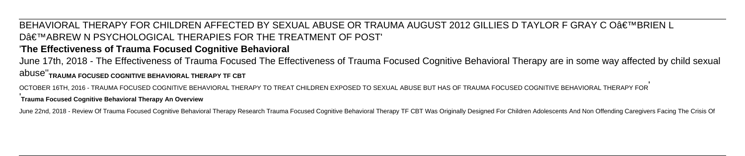BEHAVIORAL THERAPY FOR CHILDREN AFFECTED BY SEXUAL ABUSE OR TRAUMA AUGUST 2012 GILLIES D TAYLOR F GRAY C O'BRIEN L D€™ABREW N PSYCHOLOGICAL THERAPIES FOR THE TREATMENT OF POST' '**The Effectiveness of Trauma Focused Cognitive Behavioral**

June 17th, 2018 - The Effectiveness of Trauma Focused The Effectiveness of Trauma Focused Cognitive Behavioral Therapy are in some way affected by child sexual abuse''**TRAUMA FOCUSED COGNITIVE BEHAVIORAL THERAPY TF CBT**

OCTOBER 16TH, 2016 - TRAUMA FOCUSED COGNITIVE BEHAVIORAL THERAPY TO TREAT CHILDREN EXPOSED TO SEXUAL ABUSE BUT HAS OF TRAUMA FOCUSED COGNITIVE BEHAVIORAL THERAPY FOR' '**Trauma Focused Cognitive Behavioral Therapy An Overview**

June 22nd, 2018 - Review Of Trauma Focused Cognitive Behavioral Therapy Research Trauma Focused Cognitive Behavioral Therapy TF CBT Was Originally Designed For Children Adolescents And Non Offending Caregivers Facing The C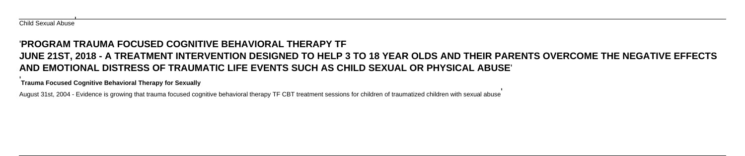'

### '**PROGRAM TRAUMA FOCUSED COGNITIVE BEHAVIORAL THERAPY TF**

# **JUNE 21ST, 2018 - A TREATMENT INTERVENTION DESIGNED TO HELP 3 TO 18 YEAR OLDS AND THEIR PARENTS OVERCOME THE NEGATIVE EFFECTS AND EMOTIONAL DISTRESS OF TRAUMATIC LIFE EVENTS SUCH AS CHILD SEXUAL OR PHYSICAL ABUSE**'

**Trauma Focused Cognitive Behavioral Therapy for Sexually**

August 31st, 2004 - Evidence is growing that trauma focused cognitive behavioral therapy TF CBT treatment sessions for children of traumatized children with sexual abuse'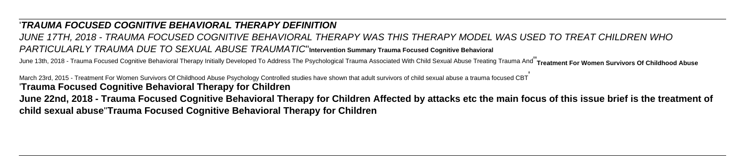### '**TRAUMA FOCUSED COGNITIVE BEHAVIORAL THERAPY DEFINITION**

# JUNE 17TH, 2018 - TRAUMA FOCUSED COGNITIVE BEHAVIORAL THERAPY WAS THIS THERAPY MODEL WAS USED TO TREAT CHILDREN WHO PARTICULARLY TRAUMA DUE TO SEXUAL ABUSE TRAUMATIC''**Intervention Summary Trauma Focused Cognitive Behavioral**

June 13th. 2018 - Trauma Focused Cognitive Behavioral Therapy Initially Developed To Address The Psychological Trauma Associated With Child Sexual Abuse Treating Trauma And<sup>"</sup>Treatment For Women Survivors Of Childhood Abus

March 23rd, 2015 - Treatment For Women Survivors Of Childhood Abuse Psychology Controlled studies have shown that adult survivors of child sexual abuse a trauma focused CBT' '**Trauma Focused Cognitive Behavioral Therapy for Children**

**June 22nd, 2018 - Trauma Focused Cognitive Behavioral Therapy for Children Affected by attacks etc the main focus of this issue brief is the treatment of child sexual abuse**''**Trauma Focused Cognitive Behavioral Therapy for Children**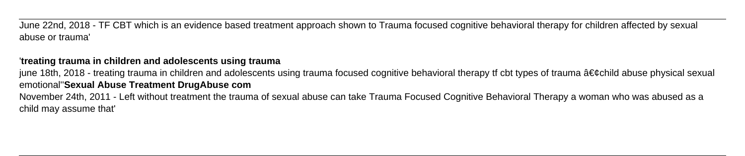June 22nd, 2018 - TF CBT which is an evidence based treatment approach shown to Trauma focused cognitive behavioral therapy for children affected by sexual abuse or trauma'

### '**treating trauma in children and adolescents using trauma**

june 18th, 2018 - treating trauma in children and adolescents using trauma focused cognitive behavioral therapy tf cbt types of trauma •child abuse physical sexual emotional''**Sexual Abuse Treatment DrugAbuse com**

November 24th, 2011 - Left without treatment the trauma of sexual abuse can take Trauma Focused Cognitive Behavioral Therapy a woman who was abused as a child may assume that'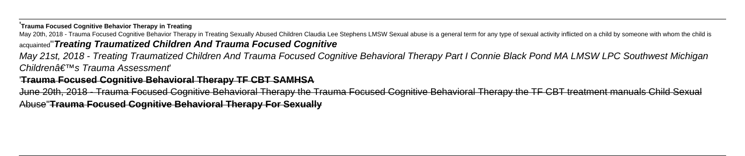'**Trauma Focused Cognitive Behavior Therapy in Treating**

May 20th, 2018 - Trauma Focused Cognitive Behavior Therapy in Treating Sexually Abused Children Claudia Lee Stephens LMSW Sexual abuse is a general term for any type of sexual activity inflicted on a child by someone with

### acquainted''**Treating Traumatized Children And Trauma Focused Cognitive**

May 21st, 2018 - Treating Traumatized Children And Trauma Focused Cognitive Behavioral Therapy Part I Connie Black Pond MA LMSW LPC Southwest Michigan Childrenâ€<sup>™</sup>s Trauma Assessment

### '**Trauma Focused Cognitive Behavioral Therapy TF CBT SAMHSA**

June 20th, 2018 - Trauma Focused Cognitive Behavioral Therapy the Trauma Focused Cognitive Behavioral Therapy the TF CBT treatment manuals Child Sexual Abuse''**Trauma Focused Cognitive Behavioral Therapy For Sexually**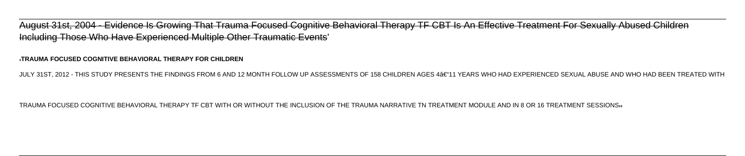August 31st, 2004 - Evidence Is Growing That Trauma Focused Cognitive Behavioral Therapy TF CBT Is An Effective Treatment For Sexually Abused Children Including Those Who Have Experienced Multiple Other Traumatic Events'

#### '**TRAUMA FOCUSED COGNITIVE BEHAVIORAL THERAPY FOR CHILDREN**

JULY 31ST, 2012 - THIS STUDY PRESENTS THE FINDINGS FROM 6 AND 12 MONTH FOLLOW UP ASSESSMENTS OF 158 CHILDREN AGES 4–11 YEARS WHO HAD EXPERIENCED SEXUAL ABUSE AND WHO HAD BEEN TREATED WITH

#### TRAUMA FOCUSED COGNITIVE BEHAVIORAL THERAPY TF CBT WITH OR WITHOUT THE INCLUSION OF THE TRAUMA NARRATIVE TN TREATMENT MODULE AND IN 8 OR 16 TREATMENT SESSIONS''